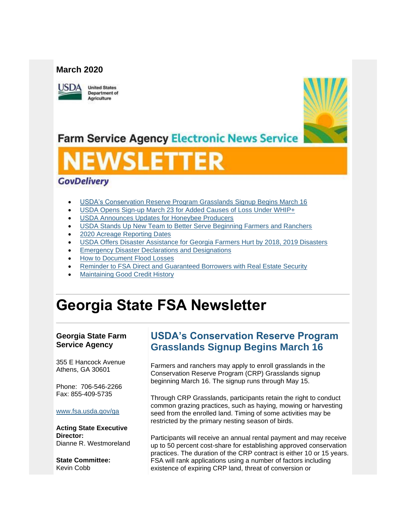### **March 2020**



**United States Department of** Agriculture



**Farm Service Agency Electronic News Service** 

# WSLETTER

## **GovDelivery**

- [USDA's Conservation Reserve Program Grasslands Signup Begins March 16](#page-0-0)
- [USDA Opens Sign-up March 23 for Added Causes of Loss Under WHIP+](#page-1-0)
- [USDA Announces Updates for Honeybee Producers](#page-2-0)
- [USDA Stands Up New Team to Better Serve Beginning Farmers and Ranchers](#page-3-0)
- [2020 Acreage Reporting Dates](#page-4-0)
- [USDA Offers Disaster Assistance for Georgia Farmers Hurt by 2018, 2019 Disasters](#page-5-0)
- **[Emergency Disaster Declarations and Designations](#page-6-0)**
- [How to Document Flood Losses](#page-7-0)
- [Reminder to FSA Direct and Guaranteed Borrowers with Real Estate Security](#page-8-0)
- [Maintaining Good Credit History](#page-8-1)

## **Georgia State FSA Newsletter**

#### **Georgia State Farm Service Agency**

355 E Hancock Avenue Athens, GA 30601

Phone: 706-546-2266 Fax: 855-409-5735

#### [www.fsa.usda.gov/ga](https://gcc02.safelinks.protection.outlook.com/?url=http%3A%2F%2Fwww.fsa.usda.gov%2Fxx%3Futm_medium%3Demail%26utm_source%3Dgovdelivery&data=02%7C01%7C%7C7df005969af44c99675c08d7ca996f27%7Ced5b36e701ee4ebc867ee03cfa0d4697%7C0%7C0%7C637200632654022188&sdata=F9NrA9nPoywyA8cNP7eGjqKDNDVX2fvVkMbd7nFVFDs%3D&reserved=0)

**Acting State Executive Director:** Dianne R. Westmoreland

**State Committee:** Kevin Cobb

## <span id="page-0-0"></span>**USDA's Conservation Reserve Program Grasslands Signup Begins March 16**

Farmers and ranchers may apply to enroll grasslands in the Conservation Reserve Program (CRP) Grasslands signup beginning March 16. The signup runs through May 15.

Through CRP Grasslands, participants retain the right to conduct common grazing practices, such as haying, mowing or harvesting seed from the enrolled land. Timing of some activities may be restricted by the primary nesting season of birds.

Participants will receive an annual rental payment and may receive up to 50 percent cost-share for establishing approved conservation practices. The duration of the CRP contract is either 10 or 15 years. FSA will rank applications using a number of factors including existence of expiring CRP land, threat of conversion or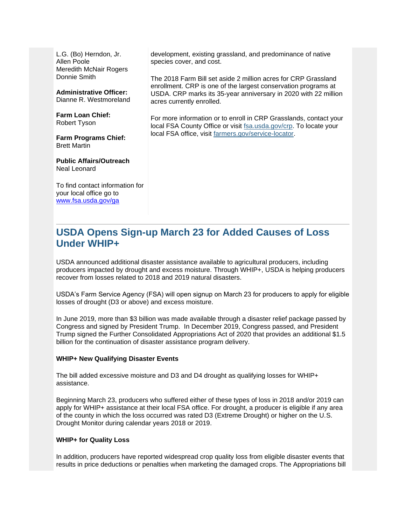L.G. (Bo) Herndon, Jr. Allen Poole Meredith McNair Rogers Donnie Smith

**Administrative Officer:** Dianne R. Westmoreland

**Farm Loan Chief:** Robert Tyson

**Farm Programs Chief:** Brett Martin

**Public Affairs/Outreach** Neal Leonard

To find contact information for your local office go to [www.fsa.usda.gov/ga](http://www.fsa.usda.gov/ga)

development, existing grassland, and predominance of native species cover, and cost.

The 2018 Farm Bill set aside 2 million acres for CRP Grassland enrollment. CRP is one of the largest conservation programs at USDA. CRP marks its 35-year anniversary in 2020 with 22 million acres currently enrolled.

For more information or to enroll in CRP Grasslands, contact your local FSA County Office or visit [fsa.usda.gov/crp.](https://gcc02.safelinks.protection.outlook.com/?data=02%7C01%7C%7C52fcc240d3554a950a3c08d7c12a7a02%7Ced5b36e701ee4ebc867ee03cfa0d4697%7C0%7C0%7C637190260493075425&reserved=0&sdata=hi5qwxBt6lHmzILON%2FvrZ9nJrcJ76V%2B001ipb8aemc8%3D&url=http%3A%2F%2Fwww.fsa.usda.gov%2Fcrp%3Futm_medium%3Demail%26utm_source%3Dgovdelivery&utm_medium=email&utm_source=govdelivery) To locate your local FSA office, visit [farmers.gov/service-locator.](https://gcc02.safelinks.protection.outlook.com/?data=02%7C01%7C%7C52fcc240d3554a950a3c08d7c12a7a02%7Ced5b36e701ee4ebc867ee03cfa0d4697%7C0%7C0%7C637190260493085420&reserved=0&sdata=QUbVq5NvD7ikJhVL4RuDYo4UnZl6tCSkG3x%2FqN%2BUWzA%3D&url=http%3A%2F%2Ffarmers.gov%2Fservice-locator%3Futm_medium%3Demail%26utm_source%3Dgovdelivery&utm_medium=email&utm_source=govdelivery)

## <span id="page-1-0"></span>**USDA Opens Sign-up March 23 for Added Causes of Loss Under WHIP+**

USDA announced additional disaster assistance available to agricultural producers, including producers impacted by drought and excess moisture. Through WHIP+, USDA is helping producers recover from losses related to 2018 and 2019 natural disasters.

USDA's Farm Service Agency (FSA) will open signup on March 23 for producers to apply for eligible losses of drought (D3 or above) and excess moisture.

In June 2019, more than \$3 billion was made available through a disaster relief package passed by Congress and signed by President Trump. In December 2019, Congress passed, and President Trump signed the Further Consolidated Appropriations Act of 2020 that provides an additional \$1.5 billion for the continuation of disaster assistance program delivery.

#### **WHIP+ New Qualifying Disaster Events**

The bill added excessive moisture and D3 and D4 drought as qualifying losses for WHIP+ assistance.

Beginning March 23, producers who suffered either of these types of loss in 2018 and/or 2019 can apply for WHIP+ assistance at their local FSA office. For drought, a producer is eligible if any area of the county in which the loss occurred was rated D3 (Extreme Drought) or higher on the U.S. Drought Monitor during calendar years 2018 or 2019.

#### **WHIP+ for Quality Loss**

In addition, producers have reported widespread crop quality loss from eligible disaster events that results in price deductions or penalties when marketing the damaged crops. The Appropriations bill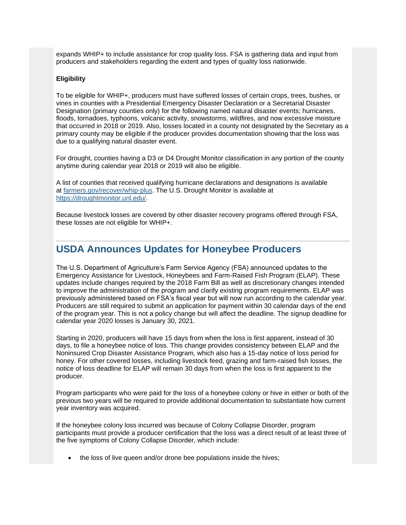expands WHIP+ to include assistance for crop quality loss. FSA is gathering data and input from producers and stakeholders regarding the extent and types of quality loss nationwide.

#### **Eligibility**

To be eligible for WHIP+, producers must have suffered losses of certain crops, trees, bushes, or vines in counties with a Presidential Emergency Disaster Declaration or a Secretarial Disaster Designation (primary counties only) for the following named natural disaster events; hurricanes, floods, tornadoes, typhoons, volcanic activity, snowstorms, wildfires, and now excessive moisture that occurred in 2018 or 2019. Also, losses located in a county not designated by the Secretary as a primary county may be eligible if the producer provides documentation showing that the loss was due to a qualifying natural disaster event.

For drought, counties having a D3 or D4 Drought Monitor classification in any portion of the county anytime during calendar year 2018 or 2019 will also be eligible.

A list of counties that received qualifying hurricane declarations and designations is available at [farmers.gov/recover/whip-plus.](http://www.farmers.gov/whip-plus?utm_medium=email&utm_source=govdelivery) The U.S. Drought Monitor is available at [https://droughtmonitor.unl.edu/.](https://gcc02.safelinks.protection.outlook.com/?data=02%7C01%7C%7Cfe64e8134cb44059d1b508d7bb8e3eb3%7Ced5b36e701ee4ebc867ee03cfa0d4697%7C0%7C0%7C637184091914752137&reserved=0&sdata=XaC%2Bi5oSAMWnMlHMt%2B4U1EklwAhzORVNc3lwst52Zi0%3D&url=https%3A%2F%2Fdroughtmonitor.unl.edu%2F%3Futm_medium%3Demail%26utm_source%3Dgovdelivery&utm_medium=email&utm_source=govdelivery)

Because livestock losses are covered by other disaster recovery programs offered through FSA, these losses are not eligible for WHIP+.

## <span id="page-2-0"></span>**USDA Announces Updates for Honeybee Producers**

The U.S. Department of Agriculture's Farm Service Agency (FSA) announced updates to the Emergency Assistance for Livestock, Honeybees and Farm-Raised Fish Program (ELAP). These updates include changes required by the 2018 Farm Bill as well as discretionary changes intended to improve the administration of the program and clarify existing program requirements. ELAP was previously administered based on FSA's fiscal year but will now run according to the calendar year. Producers are still required to submit an application for payment within 30 calendar days of the end of the program year. This is not a policy change but will affect the deadline. The signup deadline for calendar year 2020 losses is January 30, 2021.

Starting in 2020, producers will have 15 days from when the loss is first apparent, instead of 30 days, to file a honeybee notice of loss. This change provides consistency between ELAP and the Noninsured Crop Disaster Assistance Program, which also has a 15-day notice of loss period for honey. For other covered losses, including livestock feed, grazing and farm-raised fish losses, the notice of loss deadline for ELAP will remain 30 days from when the loss is first apparent to the producer.

Program participants who were paid for the loss of a honeybee colony or hive in either or both of the previous two years will be required to provide additional documentation to substantiate how current year inventory was acquired.

If the honeybee colony loss incurred was because of Colony Collapse Disorder, program participants must provide a producer certification that the loss was a direct result of at least three of the five symptoms of Colony Collapse Disorder, which include:

• the loss of live queen and/or drone bee populations inside the hives;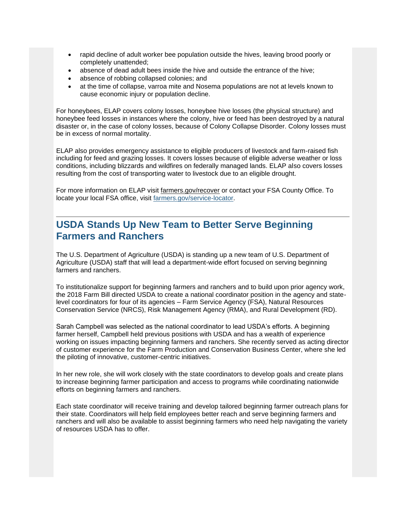- rapid decline of adult worker bee population outside the hives, leaving brood poorly or completely unattended;
- absence of dead adult bees inside the hive and outside the entrance of the hive;
- absence of robbing collapsed colonies; and
- at the time of collapse, varroa mite and Nosema populations are not at levels known to cause economic injury or population decline.

For honeybees, ELAP covers colony losses, honeybee hive losses (the physical structure) and honeybee feed losses in instances where the colony, hive or feed has been destroyed by a natural disaster or, in the case of colony losses, because of Colony Collapse Disorder. Colony losses must be in excess of normal mortality.

ELAP also provides emergency assistance to eligible producers of livestock and farm-raised fish including for feed and grazing losses. It covers losses because of eligible adverse weather or loss conditions, including blizzards and wildfires on federally managed lands. ELAP also covers losses resulting from the cost of transporting water to livestock due to an eligible drought.

For more information on ELAP visit farmers.gov/recover or contact your FSA County Office. To locate your local FSA office, visit [farmers.gov/service-locator.](https://www.farmers.gov/service-center-locator?utm_medium=email&utm_source=govdelivery)

## <span id="page-3-0"></span>**USDA Stands Up New Team to Better Serve Beginning Farmers and Ranchers**

The U.S. Department of Agriculture (USDA) is standing up a new team of U.S. Department of Agriculture (USDA) staff that will lead a department-wide effort focused on serving beginning farmers and ranchers.

To institutionalize support for beginning farmers and ranchers and to build upon prior agency work, the 2018 Farm Bill directed USDA to create a national coordinator position in the agency and statelevel coordinators for four of its agencies – Farm Service Agency (FSA), Natural Resources Conservation Service (NRCS), Risk Management Agency (RMA), and Rural Development (RD).

Sarah Campbell was selected as the national coordinator to lead USDA's efforts. A beginning farmer herself, Campbell held previous positions with USDA and has a wealth of experience working on issues impacting beginning farmers and ranchers. She recently served as acting director of customer experience for the Farm Production and Conservation Business Center, where she led the piloting of innovative, customer-centric initiatives.

In her new role, she will work closely with the state coordinators to develop goals and create plans to increase beginning farmer participation and access to programs while coordinating nationwide efforts on beginning farmers and ranchers.

Each state coordinator will receive training and develop tailored beginning farmer outreach plans for their state. Coordinators will help field employees better reach and serve beginning farmers and ranchers and will also be available to assist beginning farmers who need help navigating the variety of resources USDA has to offer.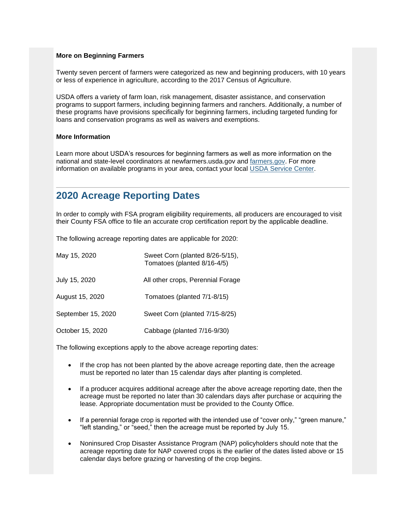#### **More on Beginning Farmers**

Twenty seven percent of farmers were categorized as new and beginning producers, with 10 years or less of experience in agriculture, according to the 2017 Census of Agriculture.

USDA offers a variety of farm loan, risk management, disaster assistance, and conservation programs to support farmers, including beginning farmers and ranchers. Additionally, a number of these programs have provisions specifically for beginning farmers, including targeted funding for loans and conservation programs as well as waivers and exemptions.

#### **More Information**

Learn more about USDA's resources for beginning farmers as well as more information on the national and state-level coordinators at newfarmers.usda.gov and [farmers.gov.](http://www.farmers.gov/?utm_medium=email&utm_source=govdelivery#_blank) For more information on available programs in your area, contact your local [USDA Service Center.](https://www.farmers.gov/service-center-locator?utm_medium=email&utm_source=govdelivery#_blank)

## <span id="page-4-0"></span>**2020 Acreage Reporting Dates**

In order to comply with FSA program eligibility requirements, all producers are encouraged to visit their County FSA office to file an accurate crop certification report by the applicable deadline.

The following acreage reporting dates are applicable for 2020:

| May 15, 2020       | Sweet Corn (planted 8/26-5/15),<br>Tomatoes (planted 8/16-4/5) |
|--------------------|----------------------------------------------------------------|
| July 15, 2020      | All other crops, Perennial Forage                              |
| August 15, 2020    | Tomatoes (planted 7/1-8/15)                                    |
| September 15, 2020 | Sweet Corn (planted 7/15-8/25)                                 |
| October 15, 2020   | Cabbage (planted 7/16-9/30)                                    |

The following exceptions apply to the above acreage reporting dates:

- If the crop has not been planted by the above acreage reporting date, then the acreage must be reported no later than 15 calendar days after planting is completed.
- If a producer acquires additional acreage after the above acreage reporting date, then the acreage must be reported no later than 30 calendars days after purchase or acquiring the lease. Appropriate documentation must be provided to the County Office.
- If a perennial forage crop is reported with the intended use of "cover only," "green manure," "left standing," or "seed," then the acreage must be reported by July 15.
- Noninsured Crop Disaster Assistance Program (NAP) policyholders should note that the acreage reporting date for NAP covered crops is the earlier of the dates listed above or 15 calendar days before grazing or harvesting of the crop begins.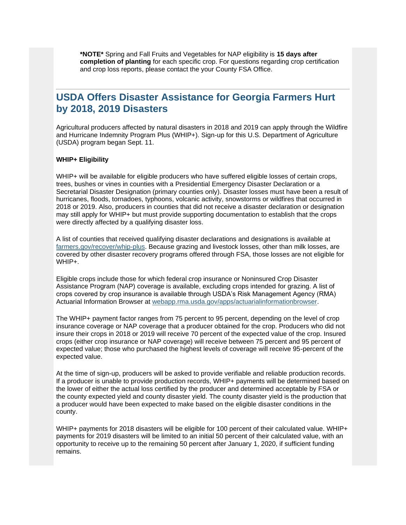**\*NOTE\*** Spring and Fall Fruits and Vegetables for NAP eligibility is **15 days after completion of planting** for each specific crop. For questions regarding crop certification and crop loss reports, please contact the your County FSA Office.

## <span id="page-5-0"></span>**USDA Offers Disaster Assistance for Georgia Farmers Hurt by 2018, 2019 Disasters**

Agricultural producers affected by natural disasters in 2018 and 2019 can apply through the Wildfire and Hurricane Indemnity Program Plus (WHIP+). Sign-up for this U.S. Department of Agriculture (USDA) program began Sept. 11.

#### **WHIP+ Eligibility**

WHIP+ will be available for eligible producers who have suffered eligible losses of certain crops, trees, bushes or vines in counties with a Presidential Emergency Disaster Declaration or a Secretarial Disaster Designation (primary counties only). Disaster losses must have been a result of hurricanes, floods, tornadoes, typhoons, volcanic activity, snowstorms or wildfires that occurred in 2018 or 2019. Also, producers in counties that did not receive a disaster declaration or designation may still apply for WHIP+ but must provide supporting documentation to establish that the crops were directly affected by a qualifying disaster loss.

A list of counties that received qualifying disaster declarations and designations is available at [farmers.gov/recover/whip-plus.](https://gcc02.safelinks.protection.outlook.com/?data=02%7C01%7C%7Cedf4c56314cc40b16e0108d737abe7a4%7Ced5b36e701ee4ebc867ee03cfa0d4697%7C0%7C0%7C637039083896297481&reserved=0&sdata=uDTK4J%2BLpZVgfXb%2Fep%2FqiCcIQRx5r4ys90a6b8beNPk%3D&url=https%3A%2F%2Fwww.farmers.gov%2Frecover%2Fwhip-plus%3Futm_medium%3Demail%26utm_source%3Dgovdelivery&utm_medium=email&utm_source=govdelivery) Because grazing and livestock losses, other than milk losses, are covered by other disaster recovery programs offered through FSA, those losses are not eligible for WHIP+.

Eligible crops include those for which federal crop insurance or Noninsured Crop Disaster Assistance Program (NAP) coverage is available, excluding crops intended for grazing. A list of crops covered by crop insurance is available through USDA's Risk Management Agency (RMA) Actuarial Information Browser at [webapp.rma.usda.gov/apps/actuarialinformationbrowser.](https://gcc02.safelinks.protection.outlook.com/?data=02%7C01%7C%7Cedf4c56314cc40b16e0108d737abe7a4%7Ced5b36e701ee4ebc867ee03cfa0d4697%7C0%7C0%7C637039083896307501&reserved=0&sdata=jXyP0j%2BFU612yLm9EsQdweASrsQXZoMOAXiz8T6kiis%3D&url=https%3A%2F%2Fwebapp.rma.usda.gov%2Fapps%2Factuarialinformationbrowser%2F%3Futm_medium%3Demail%26utm_source%3Dgovdelivery&utm_medium=email&utm_source=govdelivery)

The WHIP+ payment factor ranges from 75 percent to 95 percent, depending on the level of crop insurance coverage or NAP coverage that a producer obtained for the crop. Producers who did not insure their crops in 2018 or 2019 will receive 70 percent of the expected value of the crop. Insured crops (either crop insurance or NAP coverage) will receive between 75 percent and 95 percent of expected value; those who purchased the highest levels of coverage will receive 95-percent of the expected value.

At the time of sign-up, producers will be asked to provide verifiable and reliable production records. If a producer is unable to provide production records, WHIP+ payments will be determined based on the lower of either the actual loss certified by the producer and determined acceptable by FSA or the county expected yield and county disaster yield. The county disaster yield is the production that a producer would have been expected to make based on the eligible disaster conditions in the county.

WHIP+ payments for 2018 disasters will be eligible for 100 percent of their calculated value. WHIP+ payments for 2019 disasters will be limited to an initial 50 percent of their calculated value, with an opportunity to receive up to the remaining 50 percent after January 1, 2020, if sufficient funding remains.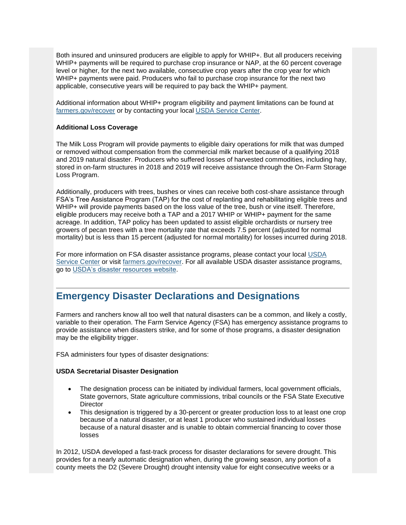Both insured and uninsured producers are eligible to apply for WHIP+. But all producers receiving WHIP+ payments will be required to purchase crop insurance or NAP, at the 60 percent coverage level or higher, for the next two available, consecutive crop years after the crop year for which WHIP+ payments were paid. Producers who fail to purchase crop insurance for the next two applicable, consecutive years will be required to pay back the WHIP+ payment.

Additional information about WHIP+ program eligibility and payment limitations can be found at [farmers.gov/recover](https://gcc02.safelinks.protection.outlook.com/?data=02%7C01%7C%7Cedf4c56314cc40b16e0108d737abe7a4%7Ced5b36e701ee4ebc867ee03cfa0d4697%7C0%7C0%7C637039083896307501&reserved=0&sdata=n2GSB%2FS7t4%2Fs15kYxgRd4k5EiKEYYUBcLF8KrtGjtKk%3D&url=https%3A%2F%2Fwww.farmers.gov%2Frecover%2Fwhip-plus%3Futm_medium%3Demail%26utm_source%3Dgovdelivery&utm_medium=email&utm_source=govdelivery) or by contacting your local [USDA Service Center.](https://gcc02.safelinks.protection.outlook.com/?data=02%7C01%7C%7Cedf4c56314cc40b16e0108d737abe7a4%7Ced5b36e701ee4ebc867ee03cfa0d4697%7C0%7C0%7C637039083896307501&reserved=0&sdata=jMBh%2FvACpdOtK0HfhEdcqY3W7ptI51uO3gcUKXGlPsI%3D&url=https%3A%2F%2Fwww.farmers.gov%2Fservice-center-locator%3Futm_medium%3Demail%26utm_source%3Dgovdelivery&utm_medium=email&utm_source=govdelivery)

#### **Additional Loss Coverage**

The Milk Loss Program will provide payments to eligible dairy operations for milk that was dumped or removed without compensation from the commercial milk market because of a qualifying 2018 and 2019 natural disaster. Producers who suffered losses of harvested commodities, including hay, stored in on-farm structures in 2018 and 2019 will receive assistance through the On-Farm Storage Loss Program.

Additionally, producers with trees, bushes or vines can receive both cost-share assistance through FSA's Tree Assistance Program (TAP) for the cost of replanting and rehabilitating eligible trees and WHIP+ will provide payments based on the loss value of the tree, bush or vine itself. Therefore, eligible producers may receive both a TAP and a 2017 WHIP or WHIP+ payment for the same acreage. In addition, TAP policy has been updated to assist eligible orchardists or nursery tree growers of pecan trees with a tree mortality rate that exceeds 7.5 percent (adjusted for normal mortality) but is less than 15 percent (adjusted for normal mortality) for losses incurred during 2018.

For more information on FSA disaster assistance programs, please contact your local [USDA](https://gcc02.safelinks.protection.outlook.com/?data=02%7C01%7C%7Cedf4c56314cc40b16e0108d737abe7a4%7Ced5b36e701ee4ebc867ee03cfa0d4697%7C0%7C0%7C637039083896317504&reserved=0&sdata=Fh4eDAVbHCKHm3l065EpBucEjkyCJu1OlOJtddcQ0jQ%3D&url=https%3A%2F%2Fwww.farmers.gov%2Fservice-center-locator%3Futm_medium%3Demail%26utm_source%3Dgovdelivery&utm_medium=email&utm_source=govdelivery)  [Service Center](https://gcc02.safelinks.protection.outlook.com/?data=02%7C01%7C%7Cedf4c56314cc40b16e0108d737abe7a4%7Ced5b36e701ee4ebc867ee03cfa0d4697%7C0%7C0%7C637039083896317504&reserved=0&sdata=Fh4eDAVbHCKHm3l065EpBucEjkyCJu1OlOJtddcQ0jQ%3D&url=https%3A%2F%2Fwww.farmers.gov%2Fservice-center-locator%3Futm_medium%3Demail%26utm_source%3Dgovdelivery&utm_medium=email&utm_source=govdelivery) or visit [farmers.gov/recover.](https://gcc02.safelinks.protection.outlook.com/?data=02%7C01%7C%7Cedf4c56314cc40b16e0108d737abe7a4%7Ced5b36e701ee4ebc867ee03cfa0d4697%7C0%7C0%7C637039083896317504&reserved=0&sdata=LYtlJENxSxTE7u1Em8XXrzXj5Wg%2FMEnudUo6wj1vLpM%3D&url=https%3A%2F%2Fwww.farmers.gov%2Frecover%3Futm_medium%3Demail%26utm_source%3Dgovdelivery&utm_medium=email&utm_source=govdelivery) For all available USDA disaster assistance programs, go to [USDA's disaster resources website.](https://gcc02.safelinks.protection.outlook.com/?data=02%7C01%7C%7Cedf4c56314cc40b16e0108d737abe7a4%7Ced5b36e701ee4ebc867ee03cfa0d4697%7C0%7C0%7C637039083896327516&reserved=0&sdata=6f3N0uA1lZG4EAU197U3xN5NRXLvEUpLMnU69KNkBrY%3D&url=https%3A%2F%2Fwww.usda.gov%2Ftopics%2Fdisaster%2Fstorms%3Futm_medium%3Demail%26utm_source%3Dgovdelivery&utm_medium=email&utm_source=govdelivery)

## <span id="page-6-0"></span>**Emergency Disaster Declarations and Designations**

Farmers and ranchers know all too well that natural disasters can be a common, and likely a costly, variable to their operation. The Farm Service Agency (FSA) has emergency assistance programs to provide assistance when disasters strike, and for some of those programs, a disaster designation may be the eligibility trigger.

FSA administers four types of disaster designations:

#### **USDA Secretarial Disaster Designation**

- The designation process can be initiated by individual farmers, local government officials, State governors, State agriculture commissions, tribal councils or the FSA State Executive **Director**
- This designation is triggered by a 30-percent or greater production loss to at least one crop because of a natural disaster, or at least 1 producer who sustained individual losses because of a natural disaster and is unable to obtain commercial financing to cover those losses

In 2012, USDA developed a fast-track process for disaster declarations for severe drought. This provides for a nearly automatic designation when, during the growing season, any portion of a county meets the D2 (Severe Drought) drought intensity value for eight consecutive weeks or a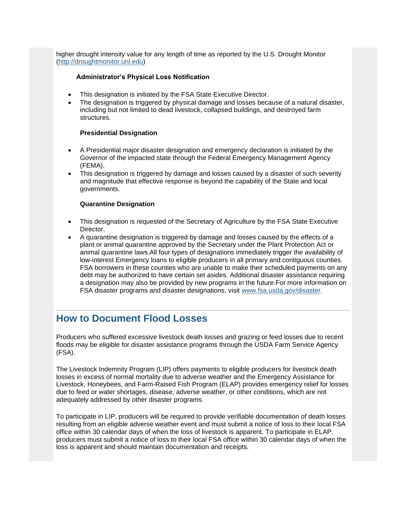higher drought intensity value for any length of time as reported by the U.S. Drought Monitor [\(http://droughtmonitor.unl.edu\)](https://gcc02.safelinks.protection.outlook.com/?url=http%3A%2F%2Fdroughtmonitor.unl.edu%2F%3Futm_medium%3Demail%26utm_source%3Dgovdelivery&data=02%7C01%7C%7C7df005969af44c99675c08d7ca996f27%7Ced5b36e701ee4ebc867ee03cfa0d4697%7C0%7C0%7C637200632654042182&sdata=uhH5HwskZHJAzKKURL4jGAQBJiwYpOIPD6oNAfxgMNM%3D&reserved=0)

#### **Administrator's Physical Loss Notification**

- This designation is initiated by the FSA State Executive Director.
- The designation is triggered by physical damage and losses because of a natural disaster, including but not limited to dead livestock, collapsed buildings, and destroyed farm structures.

#### **Presidential Designation**

- A Presidential major disaster designation and emergency declaration is initiated by the Governor of the impacted state through the Federal Emergency Management Agency (FEMA).
- This designation is triggered by damage and losses caused by a disaster of such severity and magnitude that effective response is beyond the capability of the State and local governments.

#### **Quarantine Designation**

- This designation is requested of the Secretary of Agriculture by the FSA State Executive Director.
- A quarantine designation is triggered by damage and losses caused by the effects of a plant or animal quarantine approved by the Secretary under the Plant Protection Act or animal quarantine laws.All four types of designations immediately trigger the availability of low-interest Emergency loans to eligible producers in all primary and contiguous counties. FSA borrowers in these counties who are unable to make their scheduled payments on any debt may be authorized to have certain set asides. Additional disaster assistance requiring a designation may also be provided by new programs in the future.For more information on FSA disaster programs and disaster designations, visit [www.fsa.usda.gov/disaster.](https://gcc02.safelinks.protection.outlook.com/?url=http%3A%2F%2Fwww.fsa.usda.gov%2Fdisaster%3Futm_medium%3Demail%26utm_source%3Dgovdelivery&data=02%7C01%7C%7C7df005969af44c99675c08d7ca996f27%7Ced5b36e701ee4ebc867ee03cfa0d4697%7C0%7C0%7C637200632654042182&sdata=opaH98ATiaG7KhHaWbIDw7%2F7uIJZt6T%2F%2FylA%2FABmmj8%3D&reserved=0)

## <span id="page-7-0"></span>**How to Document Flood Losses**

Producers who suffered excessive livestock death losses and grazing or feed losses due to recent floods may be eligible for disaster assistance programs through the USDA Farm Service Agency (FSA).

The Livestock Indemnity Program (LIP) offers payments to eligible producers for livestock death losses in excess of normal mortality due to adverse weather and the Emergency Assistance for Livestock, Honeybees, and Farm-Raised Fish Program (ELAP) provides emergency relief for losses due to feed or water shortages, disease, adverse weather, or other conditions, which are not adequately addressed by other disaster programs.

To participate in LIP, producers will be required to provide verifiable documentation of death losses resulting from an eligible adverse weather event and must submit a notice of loss to their local FSA office within 30 calendar days of when the loss of livestock is apparent. To participate in ELAP, producers must submit a notice of loss to their local FSA office within 30 calendar days of when the loss is apparent and should maintain documentation and receipts.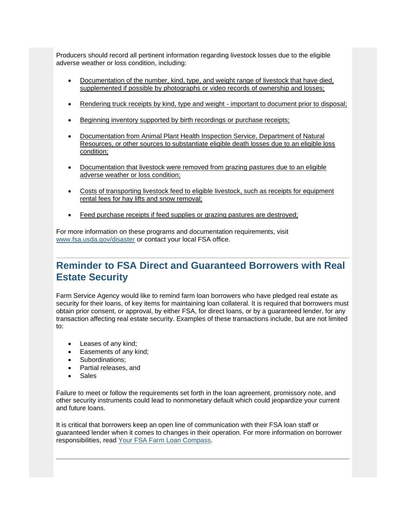Producers should record all pertinent information regarding livestock losses due to the eligible adverse weather or loss condition, including:

- Documentation of the number, kind, type, and weight range of livestock that have died, supplemented if possible by photographs or video records of ownership and losses;
- Rendering truck receipts by kind, type and weight important to document prior to disposal;
- Beginning inventory supported by birth recordings or purchase receipts;
- Documentation from Animal Plant Health Inspection Service, Department of Natural Resources, or other sources to substantiate eligible death losses due to an eligible loss condition;
- Documentation that livestock were removed from grazing pastures due to an eligible adverse weather or loss condition;
- Costs of transporting livestock feed to eligible livestock, such as receipts for equipment rental fees for hay lifts and snow removal;
- Feed purchase receipts if feed supplies or grazing pastures are destroyed;

For more information on these programs and documentation requirements, visit [www.fsa.usda.gov/disaster](https://gcc02.safelinks.protection.outlook.com/?url=http%3A%2F%2Fwww.fsa.usda.gov%2Fdisaster%3Futm_medium%3Demail%26utm_source%3Dgovdelivery&data=02%7C01%7C%7C7df005969af44c99675c08d7ca996f27%7Ced5b36e701ee4ebc867ee03cfa0d4697%7C0%7C0%7C637200632654052172&sdata=oSA1XwheUUO1xipv63fL31tQNvlYeLJ1gSBO6HIvJ6k%3D&reserved=0) or contact your local FSA office.

## <span id="page-8-0"></span>**Reminder to FSA Direct and Guaranteed Borrowers with Real Estate Security**

Farm Service Agency would like to remind farm loan borrowers who have pledged real estate as security for their loans, of key items for maintaining loan collateral. It is required that borrowers must obtain prior consent, or approval, by either FSA, for direct loans, or by a guaranteed lender, for any transaction affecting real estate security. Examples of these transactions include, but are not limited to:

- Leases of any kind;
- Easements of any kind;
- Subordinations;
- Partial releases, and
- **Sales**

Failure to meet or follow the requirements set forth in the loan agreement, promissory note, and other security instruments could lead to nonmonetary default which could jeopardize your current and future loans.

<span id="page-8-1"></span>It is critical that borrowers keep an open line of communication with their FSA loan staff or guaranteed lender when it comes to changes in their operation. For more information on borrower responsibilities, read [Your FSA Farm Loan Compass.](https://gcc02.safelinks.protection.outlook.com/?url=https%3A%2F%2Fwww.fsa.usda.gov%2FAssets%2FUSDA-FSA-Public%2Fusdafiles%2FFarm-Loan-Programs%2Fpdfs%2Floan-servicing%2Ffarm_loan_compass_9-22-17.pdf%3Futm_medium%3Demail%26utm_source%3Dgovdelivery&data=02%7C01%7C%7C7df005969af44c99675c08d7ca996f27%7Ced5b36e701ee4ebc867ee03cfa0d4697%7C0%7C1%7C637200632654052172&sdata=bfrhR4x5LwegZJJ33%2BxfQIzdLNSv4F8PkoXUnbtrn2Y%3D&reserved=0)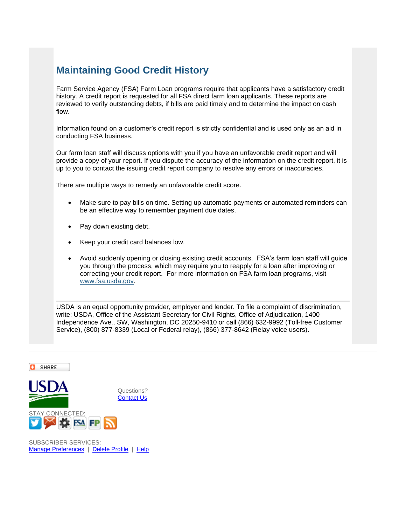## **Maintaining Good Credit History**

Farm Service Agency (FSA) Farm Loan programs require that applicants have a satisfactory credit history. A credit report is requested for all FSA direct farm loan applicants. These reports are reviewed to verify outstanding debts, if bills are paid timely and to determine the impact on cash flow.

Information found on a customer's credit report is strictly confidential and is used only as an aid in conducting FSA business.

Our farm loan staff will discuss options with you if you have an unfavorable credit report and will provide a copy of your report. If you dispute the accuracy of the information on the credit report, it is up to you to contact the issuing credit report company to resolve any errors or inaccuracies.

There are multiple ways to remedy an unfavorable credit score.

- Make sure to pay bills on time. Setting up automatic payments or automated reminders can be an effective way to remember payment due dates.
- Pay down existing debt.
- Keep your credit card balances low.
- Avoid suddenly opening or closing existing credit accounts. FSA's farm loan staff will guide you through the process, which may require you to reapply for a loan after improving or correcting your credit report. For more information on FSA farm loan programs, visit [www.fsa.usda.gov.](https://gcc02.safelinks.protection.outlook.com/?url=http%3A%2F%2Fwww.fsa.usda.gov%2F%3Futm_medium%3Demail%26utm_source%3Dgovdelivery&data=02%7C01%7C%7C7df005969af44c99675c08d7ca996f27%7Ced5b36e701ee4ebc867ee03cfa0d4697%7C0%7C0%7C637200632654052172&sdata=JFwmy0%2B%2Fua5%2BQwVpmABydqz%2BLFUug8YGGFDE97N9muI%3D&reserved=0)

USDA is an equal opportunity provider, employer and lender. To file a complaint of discrimination, write: USDA, Office of the Assistant Secretary for Civil Rights, Office of Adjudication, 1400 Independence Ave., SW, Washington, DC 20250-9410 or call (866) 632-9992 (Toll-free Customer Service), (800) 877-8339 (Local or Federal relay), (866) 377-8642 (Relay voice users).



SUBSCRIBER SERVICES: [Manage Preferences](https://public.govdelivery.com/accounts/USFSA/subscriber/new?preferences=true) | [Delete Profile](%5b%5bONECLICK_UNSUB_URL%5d%5d) | [Help](https://subscriberhelp.govdelivery.com/)